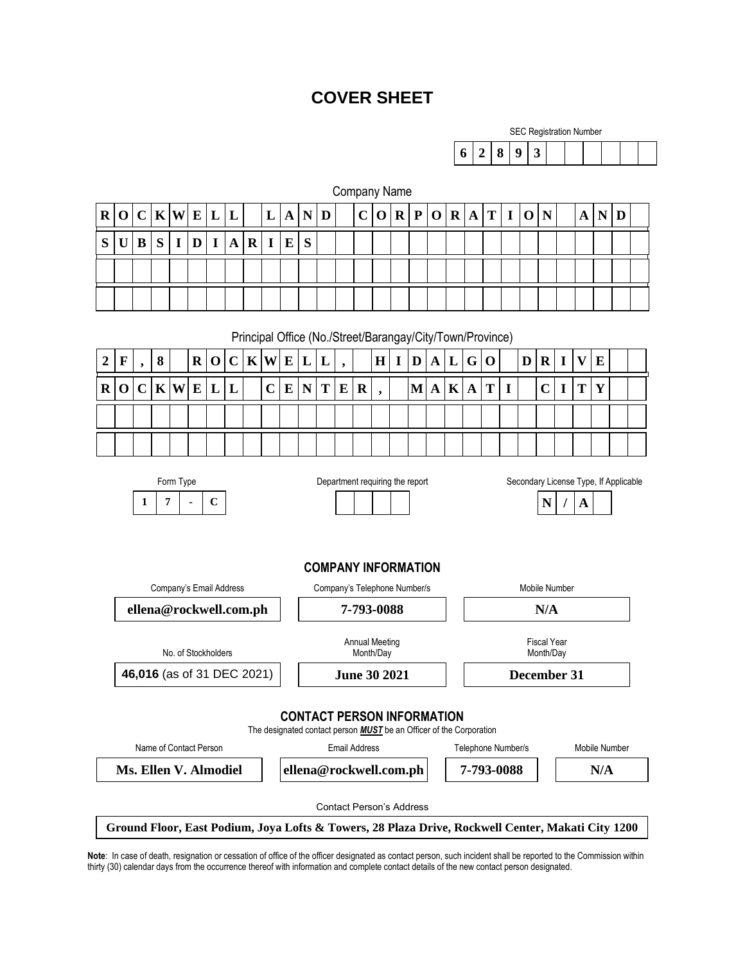# **COVER SHEET**

Company Name

|           |  | <b>SEC Registration Number</b> |  |  |  |
|-----------|--|--------------------------------|--|--|--|
| 6 2 8 9 3 |  |                                |  |  |  |

| $\mathbf R$                                                                           | $\mathbf 0$                                                                                            | $\mathbf C$ | $K$ $W$     |             | ${\bf E}$   | L           | L           |                        | L                                                                                                  | A                                 | N           | D |          | $\mathbf C$ | $\mathbf 0$                     | $\mathbf R$                         | $\mathbf{P}$                    | $\mathbf 0$  | $\mathbf R$ | $\mathbf{A}$ | T           | $\mathbf I$ | $\mathbf 0$ | N              |             | A                         | N                                                                                                 | D |  |
|---------------------------------------------------------------------------------------|--------------------------------------------------------------------------------------------------------|-------------|-------------|-------------|-------------|-------------|-------------|------------------------|----------------------------------------------------------------------------------------------------|-----------------------------------|-------------|---|----------|-------------|---------------------------------|-------------------------------------|---------------------------------|--------------|-------------|--------------|-------------|-------------|-------------|----------------|-------------|---------------------------|---------------------------------------------------------------------------------------------------|---|--|
| S                                                                                     | $\mathbf U$                                                                                            | B           | S           | $\mathbf I$ | $\mathbf D$ | $\mathbf I$ | $\mathbf A$ | $\bf R$                | $\mathbf I$                                                                                        | E                                 | S           |   |          |             |                                 |                                     |                                 |              |             |              |             |             |             |                |             |                           |                                                                                                   |   |  |
|                                                                                       |                                                                                                        |             |             |             |             |             |             |                        |                                                                                                    |                                   |             |   |          |             |                                 |                                     |                                 |              |             |              |             |             |             |                |             |                           |                                                                                                   |   |  |
|                                                                                       |                                                                                                        |             |             |             |             |             |             |                        |                                                                                                    |                                   |             |   |          |             |                                 |                                     |                                 |              |             |              |             |             |             |                |             |                           |                                                                                                   |   |  |
|                                                                                       |                                                                                                        |             |             |             |             |             |             |                        |                                                                                                    |                                   |             |   |          |             |                                 |                                     |                                 |              |             |              |             |             |             |                |             |                           |                                                                                                   |   |  |
|                                                                                       | Principal Office (No./Street/Barangay/City/Town/Province)                                              |             |             |             |             |             |             |                        |                                                                                                    |                                   |             |   |          |             |                                 |                                     |                                 |              |             |              |             |             |             |                |             |                           |                                                                                                   |   |  |
| $\boldsymbol{2}$                                                                      | $\mathbf F$                                                                                            | ,           | $\bf{8}$    |             | $\mathbf R$ | $\mathbf 0$ | $\mathbf C$ | $\mathbf K$            | W                                                                                                  | ${\bf E}$                         | L           | L |          |             | $\mathbf H$                     | $\mathbf{I}$                        | $\mathbf D$                     | $\mathbf{A}$ | L           | G            | $\mathbf 0$ |             | D           | $\bf R$        | $\mathbf I$ | $\boldsymbol{\mathrm{V}}$ | E                                                                                                 |   |  |
| $\bf R$                                                                               | $\mathbf 0$                                                                                            | $\mathbf C$ | $\mathbf K$ | W           | ${\bf E}$   | L           | L           |                        | $\overline{C}$                                                                                     | $\bf{E}$                          | $\mathbf N$ | T | $\bf{E}$ | $\mathbf R$ | $\bullet$                       |                                     | $\bf{M}$                        | $\mathbf{A}$ | $\mathbf K$ | $\mathbf A$  | T           | $\mathbf I$ |             | $\overline{C}$ | $\mathbf I$ | T                         | Y                                                                                                 |   |  |
|                                                                                       |                                                                                                        |             |             |             |             |             |             |                        |                                                                                                    |                                   |             |   |          |             |                                 |                                     |                                 |              |             |              |             |             |             |                |             |                           |                                                                                                   |   |  |
|                                                                                       |                                                                                                        |             |             |             |             |             |             |                        |                                                                                                    |                                   |             |   |          |             |                                 |                                     |                                 |              |             |              |             |             |             |                |             |                           |                                                                                                   |   |  |
|                                                                                       |                                                                                                        |             |             |             |             |             |             |                        |                                                                                                    |                                   |             |   |          |             |                                 |                                     |                                 |              |             |              |             |             |             |                |             |                           |                                                                                                   |   |  |
| Form Type<br>Department requiring the report<br>Secondary License Type, If Applicable |                                                                                                        |             |             |             |             |             |             |                        |                                                                                                    |                                   |             |   |          |             |                                 |                                     |                                 |              |             |              |             |             |             |                |             |                           |                                                                                                   |   |  |
|                                                                                       | 1<br>7<br>$\mathbf C$                                                                                  |             |             |             |             |             |             |                        |                                                                                                    |                                   |             |   |          |             |                                 |                                     |                                 | N<br>A       |             |              |             |             |             |                |             |                           |                                                                                                   |   |  |
|                                                                                       |                                                                                                        |             |             |             |             |             |             |                        |                                                                                                    |                                   |             |   |          |             |                                 |                                     |                                 |              |             |              |             |             |             |                |             |                           |                                                                                                   |   |  |
|                                                                                       |                                                                                                        |             |             |             |             |             |             |                        |                                                                                                    |                                   |             |   |          |             |                                 |                                     |                                 |              |             |              |             |             |             |                |             |                           |                                                                                                   |   |  |
|                                                                                       | <b>COMPANY INFORMATION</b><br>Company's Email Address<br>Company's Telephone Number/s<br>Mobile Number |             |             |             |             |             |             |                        |                                                                                                    |                                   |             |   |          |             |                                 |                                     |                                 |              |             |              |             |             |             |                |             |                           |                                                                                                   |   |  |
| ellena@rockwell.com.ph                                                                |                                                                                                        |             |             |             |             |             |             |                        | 7-793-0088                                                                                         |                                   |             |   |          |             |                                 | N/A                                 |                                 |              |             |              |             |             |             |                |             |                           |                                                                                                   |   |  |
|                                                                                       |                                                                                                        |             |             |             |             |             |             |                        |                                                                                                    |                                   |             |   |          |             |                                 |                                     |                                 |              |             |              |             |             |             |                |             |                           |                                                                                                   |   |  |
| No. of Stockholders                                                                   |                                                                                                        |             |             |             |             |             |             |                        | <b>Annual Meeting</b><br>Month/Day                                                                 |                                   |             |   |          |             |                                 |                                     | <b>Fiscal Year</b><br>Month/Day |              |             |              |             |             |             |                |             |                           |                                                                                                   |   |  |
| 46,016 (as of 31 DEC 2021)                                                            |                                                                                                        |             |             |             |             |             |             |                        | <b>June 30 2021</b>                                                                                |                                   |             |   |          |             |                                 |                                     |                                 | December 31  |             |              |             |             |             |                |             |                           |                                                                                                   |   |  |
|                                                                                       |                                                                                                        |             |             |             |             |             |             |                        |                                                                                                    |                                   |             |   |          |             |                                 |                                     |                                 |              |             |              |             |             |             |                |             |                           |                                                                                                   |   |  |
|                                                                                       |                                                                                                        |             |             |             |             |             |             |                        |                                                                                                    | <b>CONTACT PERSON INFORMATION</b> |             |   |          |             |                                 |                                     |                                 |              |             |              |             |             |             |                |             |                           |                                                                                                   |   |  |
| Name of Contact Person                                                                |                                                                                                        |             |             |             |             |             |             |                        | The designated contact person <b>MUST</b> be an Officer of the Corporation<br><b>Email Address</b> |                                   |             |   |          |             |                                 | Telephone Number/s<br>Mobile Number |                                 |              |             |              |             |             |             |                |             |                           |                                                                                                   |   |  |
| Ms. Ellen V. Almodiel                                                                 |                                                                                                        |             |             |             |             |             |             | ellena@rockwell.com.ph |                                                                                                    |                                   |             |   |          |             |                                 | 7-793-0088<br>N/A                   |                                 |              |             |              |             |             |             |                |             |                           |                                                                                                   |   |  |
|                                                                                       |                                                                                                        |             |             |             |             |             |             |                        |                                                                                                    |                                   |             |   |          |             | <b>Contact Person's Address</b> |                                     |                                 |              |             |              |             |             |             |                |             |                           |                                                                                                   |   |  |
|                                                                                       |                                                                                                        |             |             |             |             |             |             |                        |                                                                                                    |                                   |             |   |          |             |                                 |                                     |                                 |              |             |              |             |             |             |                |             |                           | Ground Floor, East Podium, Joya Lofts & Towers, 28 Plaza Drive, Rockwell Center, Makati City 1200 |   |  |

**Note**: In case of death, resignation or cessation of office of the officer designated as contact person, such incident shall be reported to the Commission within thirty (30) calendar days from the occurrence thereof with information and complete contact details of the new contact person designated.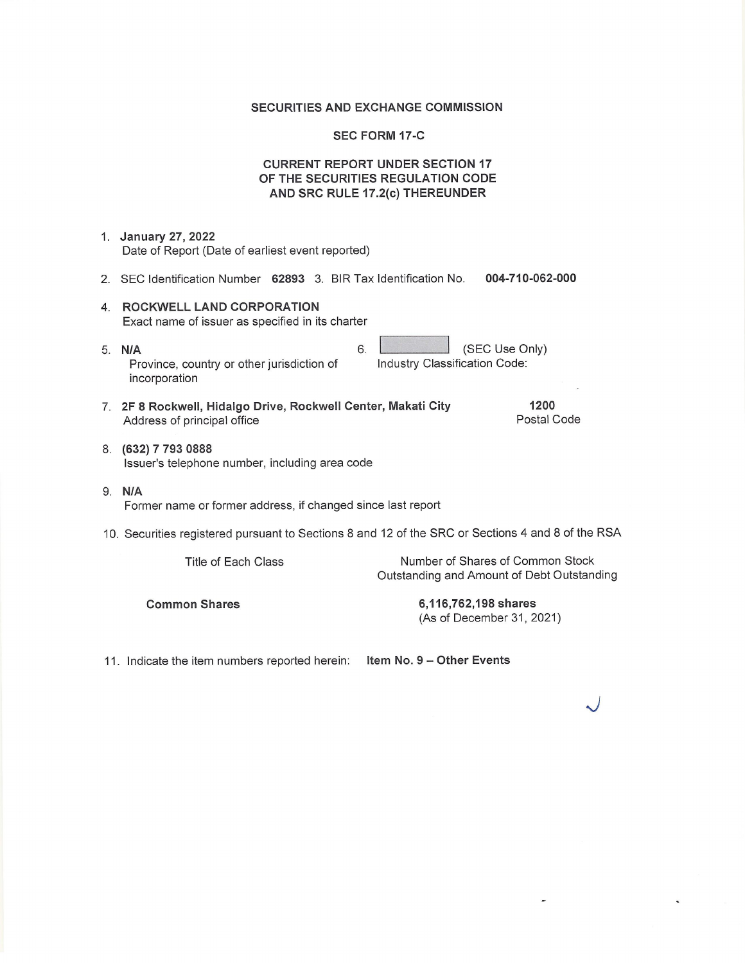## **SECURITIES AND EXCHANGE COMMISSION**

#### **SEC FORM 17-C**

### **CURRENT REPORT UNDER SECTION 17** OF THE SECURITIES REGULATION CODE AND SRC RULE 17.2(c) THEREUNDER

- 1. January 27, 2022 Date of Report (Date of earliest event reported)
- 2. SEC Identification Number 62893 3. BIR Tax Identification No. 004-710-062-000

6.

- 4. ROCKWELL LAND CORPORATION Exact name of issuer as specified in its charter
- 5. N/A Province, country or other jurisdiction of incorporation
- 7. 2F 8 Rockwell, Hidalgo Drive, Rockwell Center, Makati City Address of principal office
- 8. (632) 7 793 0888 Issuer's telephone number, including area code
- 9. N/A Former name or former address, if changed since last report
- 10. Securities registered pursuant to Sections 8 and 12 of the SRC or Sections 4 and 8 of the RSA

Title of Each Class

Number of Shares of Common Stock Outstanding and Amount of Debt Outstanding

(SEC Use Only)

1200

Postal Code

Industry Classification Code:

**Common Shares** 

6,116,762,198 shares (As of December 31, 2021)

11. Indicate the item numbers reported herein: Item No. 9 - Other Events